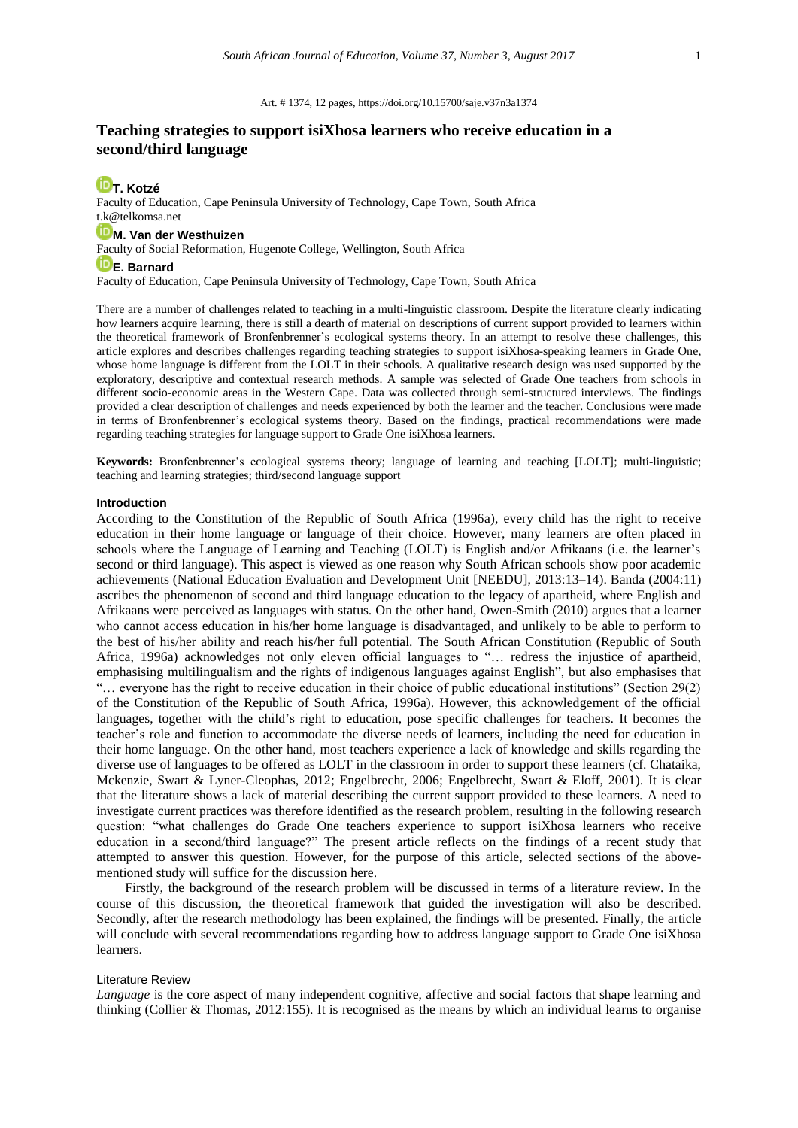#### Art. # 1374, 12 pages[, https://doi.org/10.15700/saje.v37n3a1374](https://doi.org/10.15700/saje.v37n3a1374)

# **Teaching strategies to support isiXhosa learners who receive education in a second/third language**

**T. [Kotzé](http://orcid.org/0000-0002-1214-0524)**

Faculty of Education, Cape Peninsula University of Technology, Cape Town, South Africa [t.k@telkomsa.net](mailto:t.k@telkomsa.net)

# **[M. Van der Westhuizen](http://orcid.org/0000-0003-3535-5592)**

Faculty of Social Reformation, Hugenote College, Wellington, South Africa

### **[E. Barnard](http://orcid.org/0000-0001-5914-4736)**

Faculty of Education, Cape Peninsula University of Technology, Cape Town, South Africa

There are a number of challenges related to teaching in a multi-linguistic classroom. Despite the literature clearly indicating how learners acquire learning, there is still a dearth of material on descriptions of current support provided to learners within the theoretical framework of Bronfenbrenner's ecological systems theory. In an attempt to resolve these challenges, this article explores and describes challenges regarding teaching strategies to support isiXhosa-speaking learners in Grade One, whose home language is different from the LOLT in their schools. A qualitative research design was used supported by the exploratory, descriptive and contextual research methods. A sample was selected of Grade One teachers from schools in different socio-economic areas in the Western Cape. Data was collected through semi-structured interviews. The findings provided a clear description of challenges and needs experienced by both the learner and the teacher. Conclusions were made in terms of Bronfenbrenner's ecological systems theory. Based on the findings, practical recommendations were made regarding teaching strategies for language support to Grade One isiXhosa learners.

**Keywords:** Bronfenbrenner's ecological systems theory; language of learning and teaching [LOLT]; multi-linguistic; teaching and learning strategies; third/second language support

#### **Introduction**

According to the Constitution of the Republic of South Africa (1996a), every child has the right to receive education in their home language or language of their choice. However, many learners are often placed in schools where the Language of Learning and Teaching (LOLT) is English and/or Afrikaans (i.e. the learner's second or third language). This aspect is viewed as one reason why South African schools show poor academic achievements (National Education Evaluation and Development Unit [NEEDU], 2013:13–14). Banda (2004:11) ascribes the phenomenon of second and third language education to the legacy of apartheid, where English and Afrikaans were perceived as languages with status. On the other hand, Owen-Smith (2010) argues that a learner who cannot access education in his/her home language is disadvantaged, and unlikely to be able to perform to the best of his/her ability and reach his/her full potential. The South African Constitution (Republic of South Africa, 1996a) acknowledges not only eleven official languages to "… redress the injustice of apartheid, emphasising multilingualism and the rights of indigenous languages against English", but also emphasises that "… everyone has the right to receive education in their choice of public educational institutions" (Section 29(2) of the Constitution of the Republic of South Africa, 1996a). However, this acknowledgement of the official languages, together with the child's right to education, pose specific challenges for teachers. It becomes the teacher's role and function to accommodate the diverse needs of learners, including the need for education in their home language. On the other hand, most teachers experience a lack of knowledge and skills regarding the diverse use of languages to be offered as LOLT in the classroom in order to support these learners (cf. Chataika, Mckenzie, Swart & Lyner-Cleophas, 2012; Engelbrecht, 2006; Engelbrecht, Swart & Eloff, 2001). It is clear that the literature shows a lack of material describing the current support provided to these learners. A need to investigate current practices was therefore identified as the research problem, resulting in the following research question: "what challenges do Grade One teachers experience to support isiXhosa learners who receive education in a second/third language?" The present article reflects on the findings of a recent study that attempted to answer this question. However, for the purpose of this article, selected sections of the abovementioned study will suffice for the discussion here.

Firstly, the background of the research problem will be discussed in terms of a literature review. In the course of this discussion, the theoretical framework that guided the investigation will also be described. Secondly, after the research methodology has been explained, the findings will be presented. Finally, the article will conclude with several recommendations regarding how to address language support to Grade One isiXhosa learners.

#### Literature Review

*Language* is the core aspect of many independent cognitive, affective and social factors that shape learning and thinking (Collier & Thomas, 2012:155). It is recognised as the means by which an individual learns to organise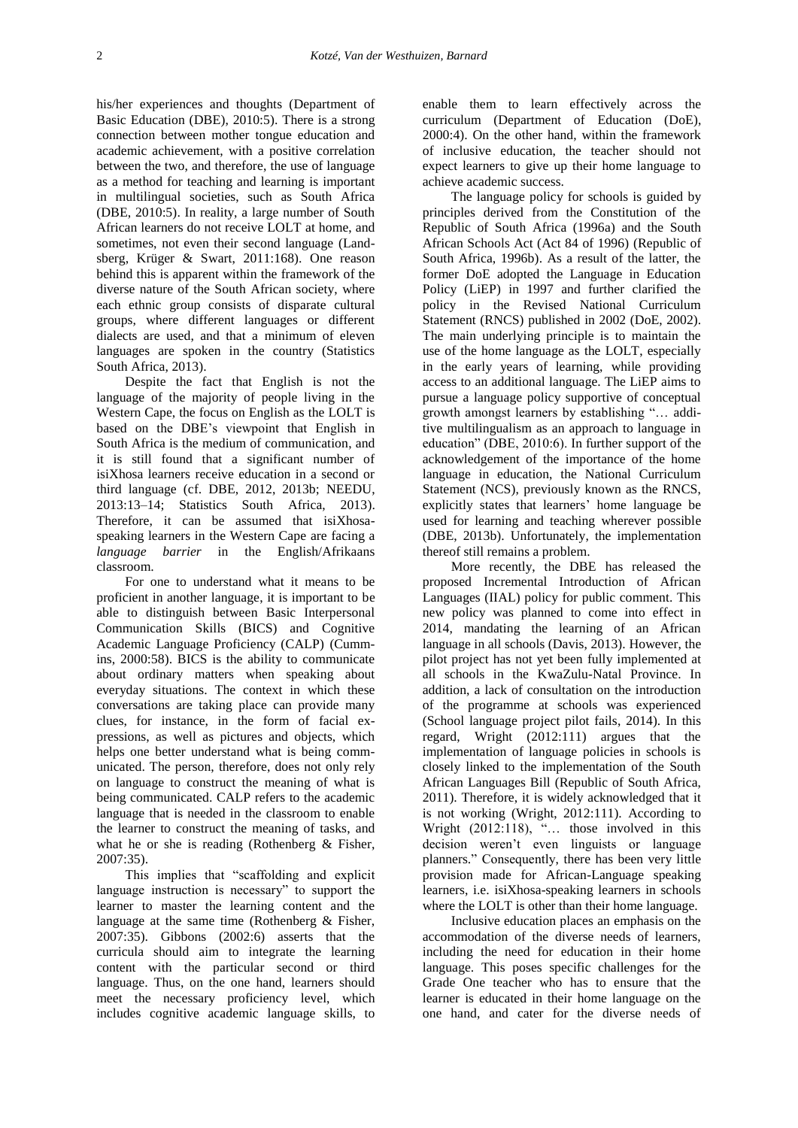his/her experiences and thoughts (Department of Basic Education (DBE), 2010:5). There is a strong connection between mother tongue education and academic achievement, with a positive correlation between the two, and therefore, the use of language as a method for teaching and learning is important in multilingual societies, such as South Africa (DBE, 2010:5). In reality, a large number of South African learners do not receive LOLT at home, and sometimes, not even their second language (Landsberg, Krüger & Swart, 2011:168). One reason behind this is apparent within the framework of the diverse nature of the South African society, where each ethnic group consists of disparate cultural groups, where different languages or different dialects are used, and that a minimum of eleven languages are spoken in the country (Statistics South Africa, 2013).

Despite the fact that English is not the language of the majority of people living in the Western Cape, the focus on English as the LOLT is based on the DBE's viewpoint that English in South Africa is the medium of communication, and it is still found that a significant number of isiXhosa learners receive education in a second or third language (cf. DBE, 2012, 2013b; NEEDU, 2013:13–14; Statistics South Africa, 2013). Therefore, it can be assumed that isiXhosaspeaking learners in the Western Cape are facing a *language barrier* in the English/Afrikaans classroom.

For one to understand what it means to be proficient in another language, it is important to be able to distinguish between Basic Interpersonal Communication Skills (BICS) and Cognitive Academic Language Proficiency (CALP) (Cummins, 2000:58). BICS is the ability to communicate about ordinary matters when speaking about everyday situations. The context in which these conversations are taking place can provide many clues, for instance, in the form of facial expressions, as well as pictures and objects, which helps one better understand what is being communicated. The person, therefore, does not only rely on language to construct the meaning of what is being communicated. CALP refers to the academic language that is needed in the classroom to enable the learner to construct the meaning of tasks, and what he or she is reading (Rothenberg & Fisher, 2007:35).

This implies that "scaffolding and explicit language instruction is necessary" to support the learner to master the learning content and the language at the same time (Rothenberg & Fisher, 2007:35). Gibbons (2002:6) asserts that the curricula should aim to integrate the learning content with the particular second or third language. Thus, on the one hand, learners should meet the necessary proficiency level, which includes cognitive academic language skills, to

enable them to learn effectively across the curriculum (Department of Education (DoE), 2000:4). On the other hand, within the framework of inclusive education, the teacher should not expect learners to give up their home language to achieve academic success.

The language policy for schools is guided by principles derived from the Constitution of the Republic of South Africa (1996a) and the South African Schools Act (Act 84 of 1996) (Republic of South Africa, 1996b). As a result of the latter, the former DoE adopted the Language in Education Policy (LiEP) in 1997 and further clarified the policy in the Revised National Curriculum Statement (RNCS) published in 2002 (DoE, 2002). The main underlying principle is to maintain the use of the home language as the LOLT, especially in the early years of learning, while providing access to an additional language. The LiEP aims to pursue a language policy supportive of conceptual growth amongst learners by establishing "… additive multilingualism as an approach to language in education" (DBE, 2010:6). In further support of the acknowledgement of the importance of the home language in education, the National Curriculum Statement (NCS), previously known as the RNCS, explicitly states that learners' home language be used for learning and teaching wherever possible (DBE, 2013b). Unfortunately, the implementation thereof still remains a problem.

More recently, the DBE has released the proposed Incremental Introduction of African Languages (IIAL) policy for public comment. This new policy was planned to come into effect in 2014, mandating the learning of an African language in all schools (Davis, 2013). However, the pilot project has not yet been fully implemented at all schools in the KwaZulu-Natal Province. In addition, a lack of consultation on the introduction of the programme at schools was experienced (School language project pilot fails, 2014). In this regard, Wright (2012:111) argues that the implementation of language policies in schools is closely linked to the implementation of the South African Languages Bill (Republic of South Africa, 2011). Therefore, it is widely acknowledged that it is not working (Wright, 2012:111). According to Wright (2012:118), "... those involved in this decision weren't even linguists or language planners." Consequently, there has been very little provision made for African-Language speaking learners, i.e. isiXhosa-speaking learners in schools where the LOLT is other than their home language.

Inclusive education places an emphasis on the accommodation of the diverse needs of learners, including the need for education in their home language. This poses specific challenges for the Grade One teacher who has to ensure that the learner is educated in their home language on the one hand, and cater for the diverse needs of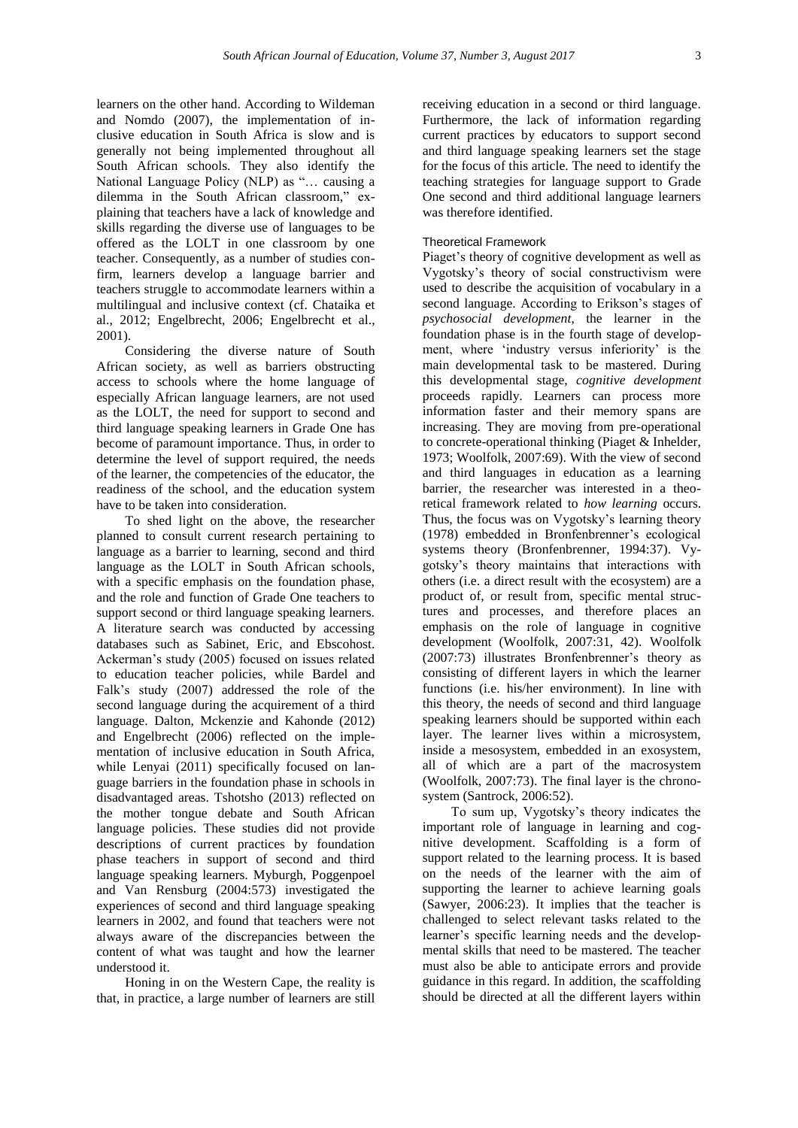learners on the other hand. According to Wildeman and Nomdo (2007), the implementation of inclusive education in South Africa is slow and is generally not being implemented throughout all South African schools. They also identify the National Language Policy (NLP) as "… causing a dilemma in the South African classroom," explaining that teachers have a lack of knowledge and skills regarding the diverse use of languages to be offered as the LOLT in one classroom by one teacher. Consequently, as a number of studies confirm, learners develop a language barrier and teachers struggle to accommodate learners within a multilingual and inclusive context (cf. Chataika et al., 2012; Engelbrecht, 2006; Engelbrecht et al., 2001).

Considering the diverse nature of South African society, as well as barriers obstructing access to schools where the home language of especially African language learners, are not used as the LOLT, the need for support to second and third language speaking learners in Grade One has become of paramount importance. Thus, in order to determine the level of support required, the needs of the learner, the competencies of the educator, the readiness of the school, and the education system have to be taken into consideration.

To shed light on the above, the researcher planned to consult current research pertaining to language as a barrier to learning, second and third language as the LOLT in South African schools, with a specific emphasis on the foundation phase, and the role and function of Grade One teachers to support second or third language speaking learners. A literature search was conducted by accessing databases such as Sabinet, Eric, and Ebscohost. Ackerman's study (2005) focused on issues related to education teacher policies, while Bardel and Falk's study (2007) addressed the role of the second language during the acquirement of a third language. Dalton, Mckenzie and Kahonde (2012) and Engelbrecht (2006) reflected on the implementation of inclusive education in South Africa, while Lenyai (2011) specifically focused on language barriers in the foundation phase in schools in disadvantaged areas. Tshotsho (2013) reflected on the mother tongue debate and South African language policies. These studies did not provide descriptions of current practices by foundation phase teachers in support of second and third language speaking learners. Myburgh, Poggenpoel and Van Rensburg (2004:573) investigated the experiences of second and third language speaking learners in 2002, and found that teachers were not always aware of the discrepancies between the content of what was taught and how the learner understood it.

Honing in on the Western Cape, the reality is that, in practice, a large number of learners are still

receiving education in a second or third language. Furthermore, the lack of information regarding current practices by educators to support second and third language speaking learners set the stage for the focus of this article. The need to identify the teaching strategies for language support to Grade One second and third additional language learners was therefore identified.

## Theoretical Framework

Piaget's theory of cognitive development as well as Vygotsky's theory of social constructivism were used to describe the acquisition of vocabulary in a second language. According to Erikson's stages of *psychosocial development*, the learner in the foundation phase is in the fourth stage of development, where 'industry versus inferiority' is the main developmental task to be mastered. During this developmental stage, *cognitive development* proceeds rapidly. Learners can process more information faster and their memory spans are increasing. They are moving from pre-operational to concrete-operational thinking (Piaget & Inhelder, 1973; Woolfolk, 2007:69). With the view of second and third languages in education as a learning barrier, the researcher was interested in a theoretical framework related to *how learning* occurs. Thus, the focus was on Vygotsky's learning theory (1978) embedded in Bronfenbrenner's ecological systems theory (Bronfenbrenner, 1994:37). Vygotsky's theory maintains that interactions with others (i.e. a direct result with the ecosystem) are a product of, or result from, specific mental structures and processes, and therefore places an emphasis on the role of language in cognitive development (Woolfolk, 2007:31, 42). Woolfolk (2007:73) illustrates Bronfenbrenner's theory as consisting of different layers in which the learner functions (i.e. his/her environment). In line with this theory, the needs of second and third language speaking learners should be supported within each layer. The learner lives within a microsystem, inside a mesosystem, embedded in an exosystem, all of which are a part of the macrosystem (Woolfolk, 2007:73). The final layer is the chronosystem (Santrock, 2006:52).

To sum up, Vygotsky's theory indicates the important role of language in learning and cognitive development. Scaffolding is a form of support related to the learning process. It is based on the needs of the learner with the aim of supporting the learner to achieve learning goals (Sawyer, 2006:23). It implies that the teacher is challenged to select relevant tasks related to the learner's specific learning needs and the developmental skills that need to be mastered. The teacher must also be able to anticipate errors and provide guidance in this regard. In addition, the scaffolding should be directed at all the different layers within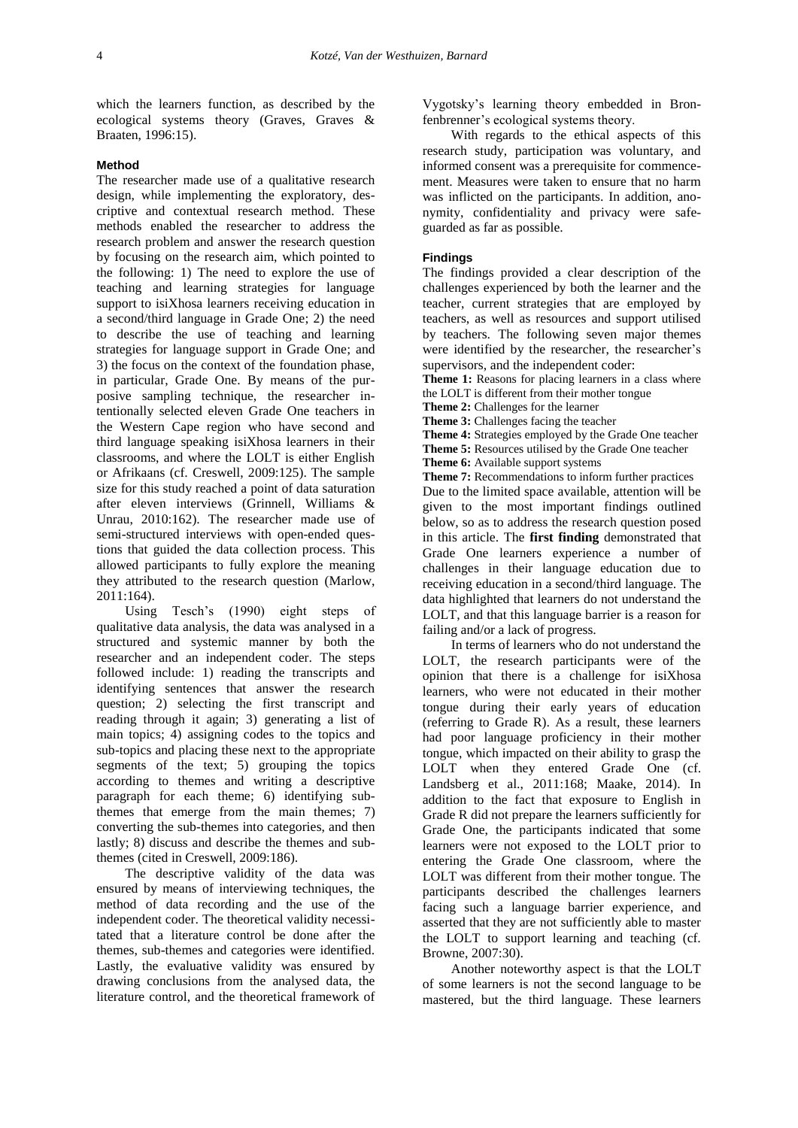which the learners function, as described by the ecological systems theory (Graves, Graves & Braaten, 1996:15).

#### **Method**

The researcher made use of a qualitative research design, while implementing the exploratory, descriptive and contextual research method. These methods enabled the researcher to address the research problem and answer the research question by focusing on the research aim, which pointed to the following: 1) The need to explore the use of teaching and learning strategies for language support to isiXhosa learners receiving education in a second/third language in Grade One; 2) the need to describe the use of teaching and learning strategies for language support in Grade One; and 3) the focus on the context of the foundation phase, in particular, Grade One. By means of the purposive sampling technique, the researcher intentionally selected eleven Grade One teachers in the Western Cape region who have second and third language speaking isiXhosa learners in their classrooms, and where the LOLT is either English or Afrikaans (cf. Creswell, 2009:125). The sample size for this study reached a point of data saturation after eleven interviews (Grinnell, Williams & Unrau, 2010:162). The researcher made use of semi-structured interviews with open-ended questions that guided the data collection process. This allowed participants to fully explore the meaning they attributed to the research question (Marlow, 2011:164).

Using Tesch's (1990) eight steps of qualitative data analysis, the data was analysed in a structured and systemic manner by both the researcher and an independent coder. The steps followed include: 1) reading the transcripts and identifying sentences that answer the research question; 2) selecting the first transcript and reading through it again; 3) generating a list of main topics; 4) assigning codes to the topics and sub-topics and placing these next to the appropriate segments of the text; 5) grouping the topics according to themes and writing a descriptive paragraph for each theme; 6) identifying subthemes that emerge from the main themes; 7) converting the sub-themes into categories, and then lastly; 8) discuss and describe the themes and subthemes (cited in Creswell, 2009:186).

The descriptive validity of the data was ensured by means of interviewing techniques, the method of data recording and the use of the independent coder. The theoretical validity necessitated that a literature control be done after the themes, sub-themes and categories were identified. Lastly, the evaluative validity was ensured by drawing conclusions from the analysed data, the literature control, and the theoretical framework of

Vygotsky's learning theory embedded in Bronfenbrenner's ecological systems theory.

With regards to the ethical aspects of this research study, participation was voluntary, and informed consent was a prerequisite for commencement. Measures were taken to ensure that no harm was inflicted on the participants. In addition, anonymity, confidentiality and privacy were safeguarded as far as possible.

### **Findings**

The findings provided a clear description of the challenges experienced by both the learner and the teacher, current strategies that are employed by teachers, as well as resources and support utilised by teachers. The following seven major themes were identified by the researcher, the researcher's supervisors, and the independent coder:

**Theme 1:** Reasons for placing learners in a class where the LOLT is different from their mother tongue

**Theme 2:** Challenges for the learner

**Theme 3:** Challenges facing the teacher

**Theme 4:** Strategies employed by the Grade One teacher **Theme 5:** Resources utilised by the Grade One teacher **Theme 6:** Available support systems

**Theme 7:** Recommendations to inform further practices Due to the limited space available, attention will be given to the most important findings outlined

below, so as to address the research question posed in this article. The **first finding** demonstrated that Grade One learners experience a number of challenges in their language education due to receiving education in a second/third language. The data highlighted that learners do not understand the LOLT, and that this language barrier is a reason for failing and/or a lack of progress.

In terms of learners who do not understand the LOLT, the research participants were of the opinion that there is a challenge for isiXhosa learners, who were not educated in their mother tongue during their early years of education (referring to Grade R). As a result, these learners had poor language proficiency in their mother tongue, which impacted on their ability to grasp the LOLT when they entered Grade One (cf. Landsberg et al., 2011:168; Maake, 2014). In addition to the fact that exposure to English in Grade R did not prepare the learners sufficiently for Grade One, the participants indicated that some learners were not exposed to the LOLT prior to entering the Grade One classroom, where the LOLT was different from their mother tongue. The participants described the challenges learners facing such a language barrier experience, and asserted that they are not sufficiently able to master the LOLT to support learning and teaching (cf. Browne, 2007:30).

Another noteworthy aspect is that the LOLT of some learners is not the second language to be mastered, but the third language. These learners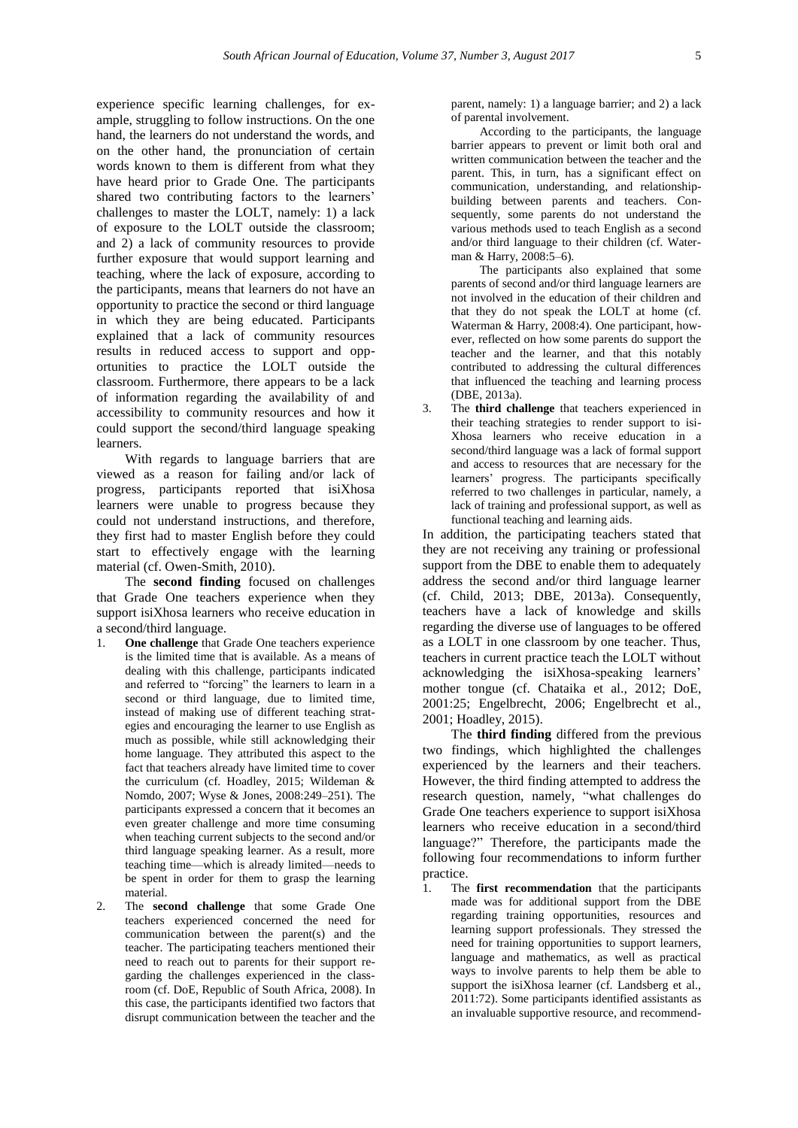experience specific learning challenges, for example, struggling to follow instructions. On the one hand, the learners do not understand the words, and on the other hand, the pronunciation of certain words known to them is different from what they have heard prior to Grade One. The participants shared two contributing factors to the learners' challenges to master the LOLT, namely: 1) a lack of exposure to the LOLT outside the classroom; and 2) a lack of community resources to provide further exposure that would support learning and teaching, where the lack of exposure, according to the participants, means that learners do not have an opportunity to practice the second or third language in which they are being educated. Participants explained that a lack of community resources results in reduced access to support and opportunities to practice the LOLT outside the classroom. Furthermore, there appears to be a lack of information regarding the availability of and accessibility to community resources and how it could support the second/third language speaking learners.

With regards to language barriers that are viewed as a reason for failing and/or lack of progress, participants reported that isiXhosa learners were unable to progress because they could not understand instructions, and therefore, they first had to master English before they could start to effectively engage with the learning material (cf. Owen-Smith, 2010).

The **second finding** focused on challenges that Grade One teachers experience when they support isiXhosa learners who receive education in a second/third language.

- **One challenge** that Grade One teachers experience is the limited time that is available. As a means of dealing with this challenge, participants indicated and referred to "forcing" the learners to learn in a second or third language, due to limited time, instead of making use of different teaching strategies and encouraging the learner to use English as much as possible, while still acknowledging their home language. They attributed this aspect to the fact that teachers already have limited time to cover the curriculum (cf. Hoadley, 2015; Wildeman & Nomdo, 2007; Wyse & Jones, 2008:249–251). The participants expressed a concern that it becomes an even greater challenge and more time consuming when teaching current subjects to the second and/or third language speaking learner. As a result, more teaching time—which is already limited—needs to be spent in order for them to grasp the learning material.
- 2. The **second challenge** that some Grade One teachers experienced concerned the need for communication between the parent(s) and the teacher. The participating teachers mentioned their need to reach out to parents for their support regarding the challenges experienced in the classroom (cf. DoE, Republic of South Africa, 2008). In this case, the participants identified two factors that disrupt communication between the teacher and the

parent, namely: 1) a language barrier; and 2) a lack of parental involvement.

According to the participants, the language barrier appears to prevent or limit both oral and written communication between the teacher and the parent. This, in turn, has a significant effect on communication, understanding, and relationshipbuilding between parents and teachers. Consequently, some parents do not understand the various methods used to teach English as a second and/or third language to their children (cf. Waterman & Harry, 2008:5–6).

The participants also explained that some parents of second and/or third language learners are not involved in the education of their children and that they do not speak the LOLT at home (cf. Waterman & Harry, 2008:4). One participant, however, reflected on how some parents do support the teacher and the learner, and that this notably contributed to addressing the cultural differences that influenced the teaching and learning process (DBE, 2013a).

3. The **third challenge** that teachers experienced in their teaching strategies to render support to isi-Xhosa learners who receive education in a second/third language was a lack of formal support and access to resources that are necessary for the learners' progress. The participants specifically referred to two challenges in particular, namely, a lack of training and professional support, as well as functional teaching and learning aids.

In addition, the participating teachers stated that they are not receiving any training or professional support from the DBE to enable them to adequately address the second and/or third language learner (cf. Child, 2013; DBE, 2013a). Consequently, teachers have a lack of knowledge and skills regarding the diverse use of languages to be offered as a LOLT in one classroom by one teacher. Thus, teachers in current practice teach the LOLT without acknowledging the isiXhosa-speaking learners' mother tongue (cf. Chataika et al., 2012; DoE, 2001:25; Engelbrecht, 2006; Engelbrecht et al., 2001; Hoadley, 2015).

The **third finding** differed from the previous two findings, which highlighted the challenges experienced by the learners and their teachers. However, the third finding attempted to address the research question, namely, "what challenges do Grade One teachers experience to support isiXhosa learners who receive education in a second/third language?" Therefore, the participants made the following four recommendations to inform further practice.

1. The **first recommendation** that the participants made was for additional support from the DBE regarding training opportunities, resources and learning support professionals. They stressed the need for training opportunities to support learners, language and mathematics, as well as practical ways to involve parents to help them be able to support the isiXhosa learner (cf. Landsberg et al., 2011:72). Some participants identified assistants as an invaluable supportive resource, and recommend-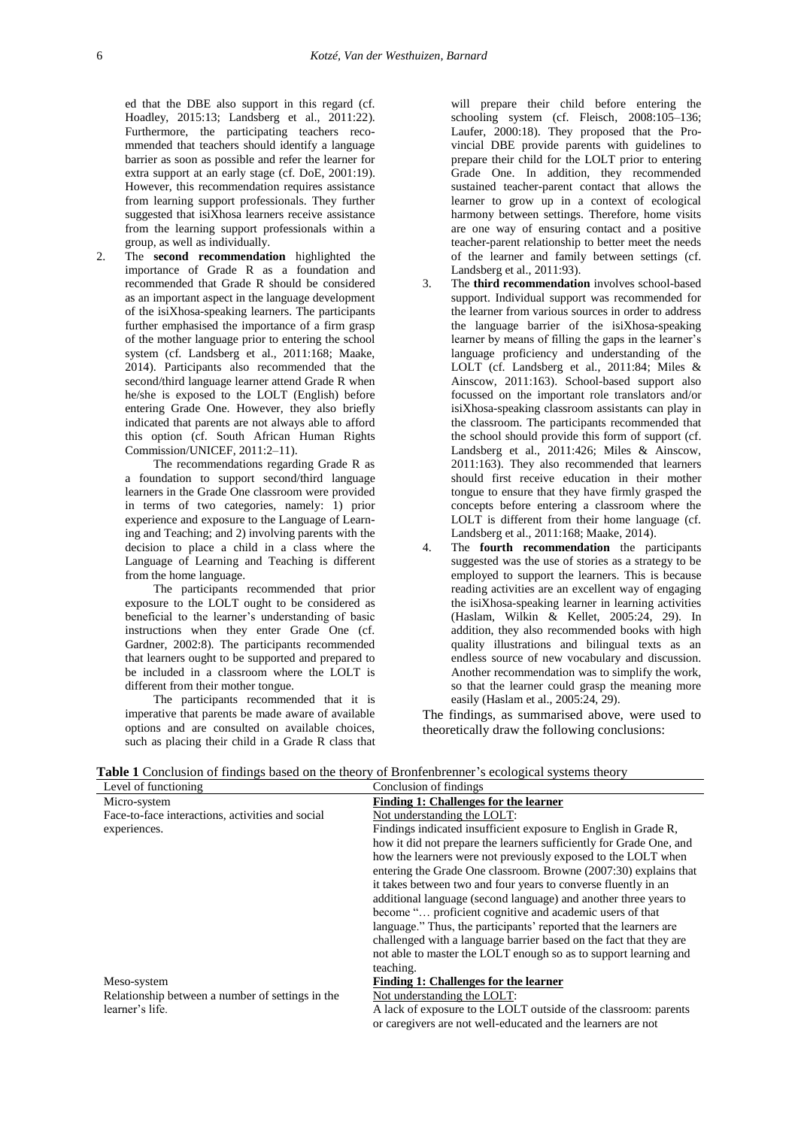ed that the DBE also support in this regard (cf. Hoadley, 2015:13; Landsberg et al., 2011:22). Furthermore, the participating teachers recommended that teachers should identify a language barrier as soon as possible and refer the learner for extra support at an early stage (cf. DoE, 2001:19). However, this recommendation requires assistance from learning support professionals. They further suggested that isiXhosa learners receive assistance from the learning support professionals within a group, as well as individually.

2. The **second recommendation** highlighted the importance of Grade R as a foundation and recommended that Grade R should be considered as an important aspect in the language development of the isiXhosa-speaking learners. The participants further emphasised the importance of a firm grasp of the mother language prior to entering the school system (cf. Landsberg et al., 2011:168; Maake, 2014). Participants also recommended that the second/third language learner attend Grade R when he/she is exposed to the LOLT (English) before entering Grade One. However, they also briefly indicated that parents are not always able to afford this option (cf. South African Human Rights Commission/UNICEF, 2011:2–11).

The recommendations regarding Grade R as a foundation to support second/third language learners in the Grade One classroom were provided in terms of two categories, namely: 1) prior experience and exposure to the Language of Learning and Teaching; and 2) involving parents with the decision to place a child in a class where the Language of Learning and Teaching is different from the home language.

The participants recommended that prior exposure to the LOLT ought to be considered as beneficial to the learner's understanding of basic instructions when they enter Grade One (cf. Gardner, 2002:8). The participants recommended that learners ought to be supported and prepared to be included in a classroom where the LOLT is different from their mother tongue.

The participants recommended that it is imperative that parents be made aware of available options and are consulted on available choices, such as placing their child in a Grade R class that will prepare their child before entering the schooling system (cf. Fleisch, 2008:105–136; Laufer, 2000:18). They proposed that the Provincial DBE provide parents with guidelines to prepare their child for the LOLT prior to entering Grade One. In addition, they recommended sustained teacher-parent contact that allows the learner to grow up in a context of ecological harmony between settings. Therefore, home visits are one way of ensuring contact and a positive teacher-parent relationship to better meet the needs of the learner and family between settings (cf. Landsberg et al., 2011:93).

- 3. The **third recommendation** involves school-based support. Individual support was recommended for the learner from various sources in order to address the language barrier of the isiXhosa-speaking learner by means of filling the gaps in the learner's language proficiency and understanding of the LOLT (cf. Landsberg et al., 2011:84; Miles & Ainscow, 2011:163). School-based support also focussed on the important role translators and/or isiXhosa-speaking classroom assistants can play in the classroom. The participants recommended that the school should provide this form of support (cf. Landsberg et al., 2011:426; Miles & Ainscow, 2011:163). They also recommended that learners should first receive education in their mother tongue to ensure that they have firmly grasped the concepts before entering a classroom where the LOLT is different from their home language (cf. Landsberg et al., 2011:168; Maake, 2014).
- 4. The **fourth recommendation** the participants suggested was the use of stories as a strategy to be employed to support the learners. This is because reading activities are an excellent way of engaging the isiXhosa-speaking learner in learning activities (Haslam, Wilkin & Kellet, 2005:24, 29). In addition, they also recommended books with high quality illustrations and bilingual texts as an endless source of new vocabulary and discussion. Another recommendation was to simplify the work, so that the learner could grasp the meaning more easily (Haslam et al., 2005:24, 29).

The findings, as summarised above, were used to theoretically draw the following conclusions:

| Level of functioning                             | Conclusion of findings                                              |
|--------------------------------------------------|---------------------------------------------------------------------|
| Micro-system                                     | Finding 1: Challenges for the learner                               |
| Face-to-face interactions, activities and social | Not understanding the LOLT:                                         |
| experiences.                                     | Findings indicated insufficient exposure to English in Grade R,     |
|                                                  | how it did not prepare the learners sufficiently for Grade One, and |
|                                                  | how the learners were not previously exposed to the LOLT when       |
|                                                  | entering the Grade One classroom. Browne (2007:30) explains that    |
|                                                  | it takes between two and four years to converse fluently in an      |
|                                                  | additional language (second language) and another three years to    |
|                                                  | become " proficient cognitive and academic users of that            |
|                                                  | language." Thus, the participants' reported that the learners are   |
|                                                  | challenged with a language barrier based on the fact that they are  |
|                                                  | not able to master the LOLT enough so as to support learning and    |
|                                                  | teaching.                                                           |
| Meso-system                                      | Finding 1: Challenges for the learner                               |
| Relationship between a number of settings in the | Not understanding the LOLT:                                         |
| learner's life.                                  | A lack of exposure to the LOLT outside of the classroom; parents    |

**Table 1** Conclusion of findings based on the theory of Bronfenbrenner's ecological systems theory

A lack of exposure to the LOLT outside of the classroom: parents or caregivers are not well-educated and the learners are not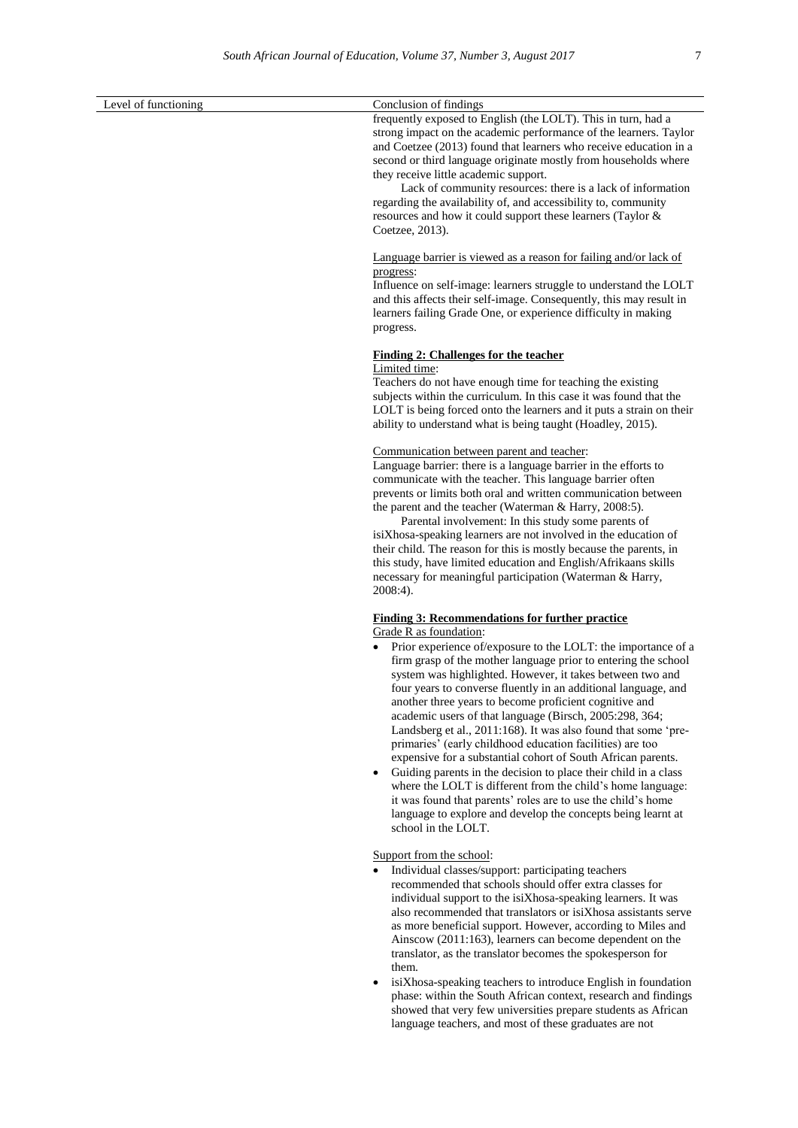| Level of functioning | Conclusion of findings                                                                                                                                                                                                                                                                                                                                                                                                                                                                                                                                                                                                                                                                                                                                                                                                                                                                                                                                                       |
|----------------------|------------------------------------------------------------------------------------------------------------------------------------------------------------------------------------------------------------------------------------------------------------------------------------------------------------------------------------------------------------------------------------------------------------------------------------------------------------------------------------------------------------------------------------------------------------------------------------------------------------------------------------------------------------------------------------------------------------------------------------------------------------------------------------------------------------------------------------------------------------------------------------------------------------------------------------------------------------------------------|
|                      | frequently exposed to English (the LOLT). This in turn, had a<br>strong impact on the academic performance of the learners. Taylor<br>and Coetzee (2013) found that learners who receive education in a<br>second or third language originate mostly from households where<br>they receive little academic support.<br>Lack of community resources: there is a lack of information<br>regarding the availability of, and accessibility to, community<br>resources and how it could support these learners (Taylor &<br>Coetzee, 2013).                                                                                                                                                                                                                                                                                                                                                                                                                                       |
|                      | Language barrier is viewed as a reason for failing and/or lack of<br>progress:<br>Influence on self-image: learners struggle to understand the LOLT<br>and this affects their self-image. Consequently, this may result in<br>learners failing Grade One, or experience difficulty in making<br>progress.                                                                                                                                                                                                                                                                                                                                                                                                                                                                                                                                                                                                                                                                    |
|                      | <b>Finding 2: Challenges for the teacher</b>                                                                                                                                                                                                                                                                                                                                                                                                                                                                                                                                                                                                                                                                                                                                                                                                                                                                                                                                 |
|                      | Limited time:<br>Teachers do not have enough time for teaching the existing<br>subjects within the curriculum. In this case it was found that the<br>LOLT is being forced onto the learners and it puts a strain on their<br>ability to understand what is being taught (Hoadley, 2015).                                                                                                                                                                                                                                                                                                                                                                                                                                                                                                                                                                                                                                                                                     |
|                      | Communication between parent and teacher:<br>Language barrier: there is a language barrier in the efforts to<br>communicate with the teacher. This language barrier often<br>prevents or limits both oral and written communication between<br>the parent and the teacher (Waterman & Harry, 2008:5).<br>Parental involvement: In this study some parents of<br>isiXhosa-speaking learners are not involved in the education of<br>their child. The reason for this is mostly because the parents, in<br>this study, have limited education and English/Afrikaans skills<br>necessary for meaningful participation (Waterman & Harry,<br>2008:4).                                                                                                                                                                                                                                                                                                                            |
|                      | <b>Finding 3: Recommendations for further practice</b><br>Grade R as foundation:<br>Prior experience of/exposure to the LOLT: the importance of a<br>firm grasp of the mother language prior to entering the school<br>system was highlighted. However, it takes between two and<br>four years to converse fluently in an additional language, and<br>another three years to become proficient cognitive and<br>academic users of that language (Birsch, 2005:298, 364;<br>Landsberg et al., 2011:168). It was also found that some 'pre-<br>primaries' (early childhood education facilities) are too<br>expensive for a substantial cohort of South African parents.<br>Guiding parents in the decision to place their child in a class<br>$\bullet$<br>where the LOLT is different from the child's home language:<br>it was found that parents' roles are to use the child's home<br>language to explore and develop the concepts being learnt at<br>school in the LOLT. |
|                      | Support from the school:<br>Individual classes/support: participating teachers<br>recommended that schools should offer extra classes for<br>individual support to the isiXhosa-speaking learners. It was<br>also recommended that translators or isiXhosa assistants serve<br>as more beneficial support. However, according to Miles and<br>Ainscow (2011:163), learners can become dependent on the<br>translator, as the translator becomes the spokesperson for<br>them.<br>isiXhosa-speaking teachers to introduce English in foundation                                                                                                                                                                                                                                                                                                                                                                                                                               |

• isiXhosa-speaking teachers to introduce English in foundation phase: within the South African context, research and findings showed that very few universities prepare students as African language teachers, and most of these graduates are not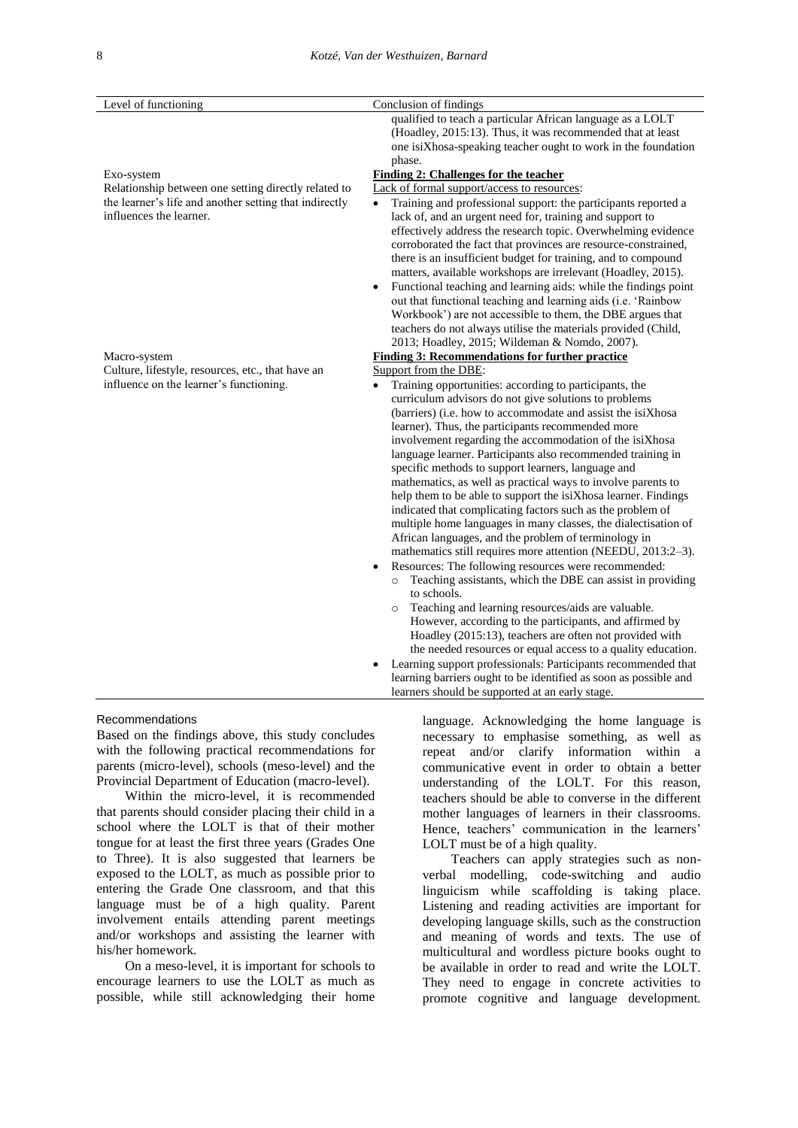| Level of functioning                                                                                                                                    | Conclusion of findings                                                                                                                                                                                                                                                                                                                                                                                                                                                                                                                                                                                                                                                                                                                                                                                                                                                                                                                                                                                                                                                                                                                                                                                                                                                                                                                                                                                                         |
|---------------------------------------------------------------------------------------------------------------------------------------------------------|--------------------------------------------------------------------------------------------------------------------------------------------------------------------------------------------------------------------------------------------------------------------------------------------------------------------------------------------------------------------------------------------------------------------------------------------------------------------------------------------------------------------------------------------------------------------------------------------------------------------------------------------------------------------------------------------------------------------------------------------------------------------------------------------------------------------------------------------------------------------------------------------------------------------------------------------------------------------------------------------------------------------------------------------------------------------------------------------------------------------------------------------------------------------------------------------------------------------------------------------------------------------------------------------------------------------------------------------------------------------------------------------------------------------------------|
|                                                                                                                                                         | qualified to teach a particular African language as a LOLT<br>(Hoadley, 2015:13). Thus, it was recommended that at least<br>one isiXhosa-speaking teacher ought to work in the foundation<br>phase.                                                                                                                                                                                                                                                                                                                                                                                                                                                                                                                                                                                                                                                                                                                                                                                                                                                                                                                                                                                                                                                                                                                                                                                                                            |
| Exo-system<br>Relationship between one setting directly related to<br>the learner's life and another setting that indirectly<br>influences the learner. | <b>Finding 2: Challenges for the teacher</b><br>Lack of formal support/access to resources:<br>Training and professional support: the participants reported a<br>lack of, and an urgent need for, training and support to<br>effectively address the research topic. Overwhelming evidence<br>corroborated the fact that provinces are resource-constrained,<br>there is an insufficient budget for training, and to compound<br>matters, available workshops are irrelevant (Hoadley, 2015).<br>Functional teaching and learning aids: while the findings point<br>out that functional teaching and learning aids (i.e. 'Rainbow<br>Workbook') are not accessible to them, the DBE argues that<br>teachers do not always utilise the materials provided (Child,<br>2013; Hoadley, 2015; Wildeman & Nomdo, 2007).                                                                                                                                                                                                                                                                                                                                                                                                                                                                                                                                                                                                              |
| Macro-system                                                                                                                                            | <b>Finding 3: Recommendations for further practice</b>                                                                                                                                                                                                                                                                                                                                                                                                                                                                                                                                                                                                                                                                                                                                                                                                                                                                                                                                                                                                                                                                                                                                                                                                                                                                                                                                                                         |
| Culture, lifestyle, resources, etc., that have an                                                                                                       | Support from the DBE:                                                                                                                                                                                                                                                                                                                                                                                                                                                                                                                                                                                                                                                                                                                                                                                                                                                                                                                                                                                                                                                                                                                                                                                                                                                                                                                                                                                                          |
| influence on the learner's functioning.                                                                                                                 | Training opportunities: according to participants, the<br>curriculum advisors do not give solutions to problems<br>(barriers) (i.e. how to accommodate and assist the isiXhosa<br>learner). Thus, the participants recommended more<br>involvement regarding the accommodation of the isiXhosa<br>language learner. Participants also recommended training in<br>specific methods to support learners, language and<br>mathematics, as well as practical ways to involve parents to<br>help them to be able to support the isiXhosa learner. Findings<br>indicated that complicating factors such as the problem of<br>multiple home languages in many classes, the dialectisation of<br>African languages, and the problem of terminology in<br>mathematics still requires more attention (NEEDU, 2013:2-3).<br>Resources: The following resources were recommended:<br>$\bullet$<br>Teaching assistants, which the DBE can assist in providing<br>$\circ$<br>to schools.<br>Teaching and learning resources/aids are valuable.<br>$\circ$<br>However, according to the participants, and affirmed by<br>Hoadley (2015:13), teachers are often not provided with<br>the needed resources or equal access to a quality education.<br>Learning support professionals: Participants recommended that<br>٠<br>learning barriers ought to be identified as soon as possible and<br>learners should be supported at an early stage. |

#### Recommendations

Based on the findings above, this study concludes with the following practical recommendations for parents (micro-level), schools (meso-level) and the Provincial Department of Education (macro-level).

Within the micro-level, it is recommended that parents should consider placing their child in a school where the LOLT is that of their mother tongue for at least the first three years (Grades One to Three). It is also suggested that learners be exposed to the LOLT, as much as possible prior to entering the Grade One classroom, and that this language must be of a high quality. Parent involvement entails attending parent meetings and/or workshops and assisting the learner with his/her homework.

On a meso-level, it is important for schools to encourage learners to use the LOLT as much as possible, while still acknowledging their home

language. Acknowledging the home language is necessary to emphasise something, as well as repeat and/or clarify information within a communicative event in order to obtain a better understanding of the LOLT. For this reason, teachers should be able to converse in the different mother languages of learners in their classrooms. Hence, teachers' communication in the learners' LOLT must be of a high quality.

Teachers can apply strategies such as nonverbal modelling, code-switching and audio linguicism while scaffolding is taking place. Listening and reading activities are important for developing language skills, such as the construction and meaning of words and texts. The use of multicultural and wordless picture books ought to be available in order to read and write the LOLT. They need to engage in concrete activities to promote cognitive and language development.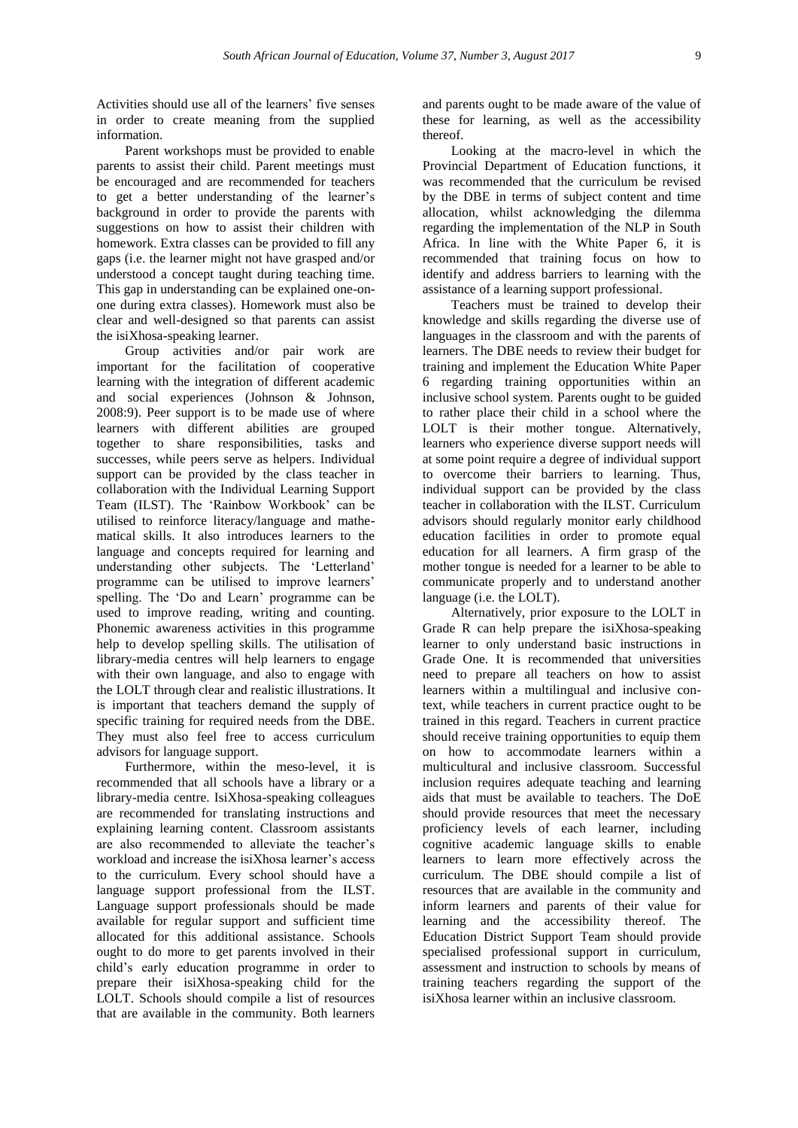Activities should use all of the learners' five senses in order to create meaning from the supplied information.

Parent workshops must be provided to enable parents to assist their child. Parent meetings must be encouraged and are recommended for teachers to get a better understanding of the learner's background in order to provide the parents with suggestions on how to assist their children with homework. Extra classes can be provided to fill any gaps (i.e. the learner might not have grasped and/or understood a concept taught during teaching time. This gap in understanding can be explained one-onone during extra classes). Homework must also be clear and well-designed so that parents can assist the isiXhosa-speaking learner.

Group activities and/or pair work are important for the facilitation of cooperative learning with the integration of different academic and social experiences (Johnson & Johnson, 2008:9). Peer support is to be made use of where learners with different abilities are grouped together to share responsibilities, tasks and successes, while peers serve as helpers. Individual support can be provided by the class teacher in collaboration with the Individual Learning Support Team (ILST). The 'Rainbow Workbook' can be utilised to reinforce literacy/language and mathematical skills. It also introduces learners to the language and concepts required for learning and understanding other subjects. The 'Letterland' programme can be utilised to improve learners' spelling. The 'Do and Learn' programme can be used to improve reading, writing and counting. Phonemic awareness activities in this programme help to develop spelling skills. The utilisation of library-media centres will help learners to engage with their own language, and also to engage with the LOLT through clear and realistic illustrations. It is important that teachers demand the supply of specific training for required needs from the DBE. They must also feel free to access curriculum advisors for language support.

Furthermore, within the meso-level, it is recommended that all schools have a library or a library-media centre. IsiXhosa-speaking colleagues are recommended for translating instructions and explaining learning content. Classroom assistants are also recommended to alleviate the teacher's workload and increase the isiXhosa learner's access to the curriculum. Every school should have a language support professional from the ILST. Language support professionals should be made available for regular support and sufficient time allocated for this additional assistance. Schools ought to do more to get parents involved in their child's early education programme in order to prepare their isiXhosa-speaking child for the LOLT. Schools should compile a list of resources that are available in the community. Both learners

and parents ought to be made aware of the value of these for learning, as well as the accessibility thereof.

Looking at the macro-level in which the Provincial Department of Education functions, it was recommended that the curriculum be revised by the DBE in terms of subject content and time allocation, whilst acknowledging the dilemma regarding the implementation of the NLP in South Africa. In line with the White Paper 6, it is recommended that training focus on how to identify and address barriers to learning with the assistance of a learning support professional.

Teachers must be trained to develop their knowledge and skills regarding the diverse use of languages in the classroom and with the parents of learners. The DBE needs to review their budget for training and implement the Education White Paper 6 regarding training opportunities within an inclusive school system. Parents ought to be guided to rather place their child in a school where the LOLT is their mother tongue. Alternatively, learners who experience diverse support needs will at some point require a degree of individual support to overcome their barriers to learning. Thus, individual support can be provided by the class teacher in collaboration with the ILST. Curriculum advisors should regularly monitor early childhood education facilities in order to promote equal education for all learners. A firm grasp of the mother tongue is needed for a learner to be able to communicate properly and to understand another language (i.e. the LOLT).

Alternatively, prior exposure to the LOLT in Grade R can help prepare the isiXhosa-speaking learner to only understand basic instructions in Grade One. It is recommended that universities need to prepare all teachers on how to assist learners within a multilingual and inclusive context, while teachers in current practice ought to be trained in this regard. Teachers in current practice should receive training opportunities to equip them on how to accommodate learners within a multicultural and inclusive classroom. Successful inclusion requires adequate teaching and learning aids that must be available to teachers. The DoE should provide resources that meet the necessary proficiency levels of each learner, including cognitive academic language skills to enable learners to learn more effectively across the curriculum. The DBE should compile a list of resources that are available in the community and inform learners and parents of their value for learning and the accessibility thereof. The Education District Support Team should provide specialised professional support in curriculum, assessment and instruction to schools by means of training teachers regarding the support of the isiXhosa learner within an inclusive classroom.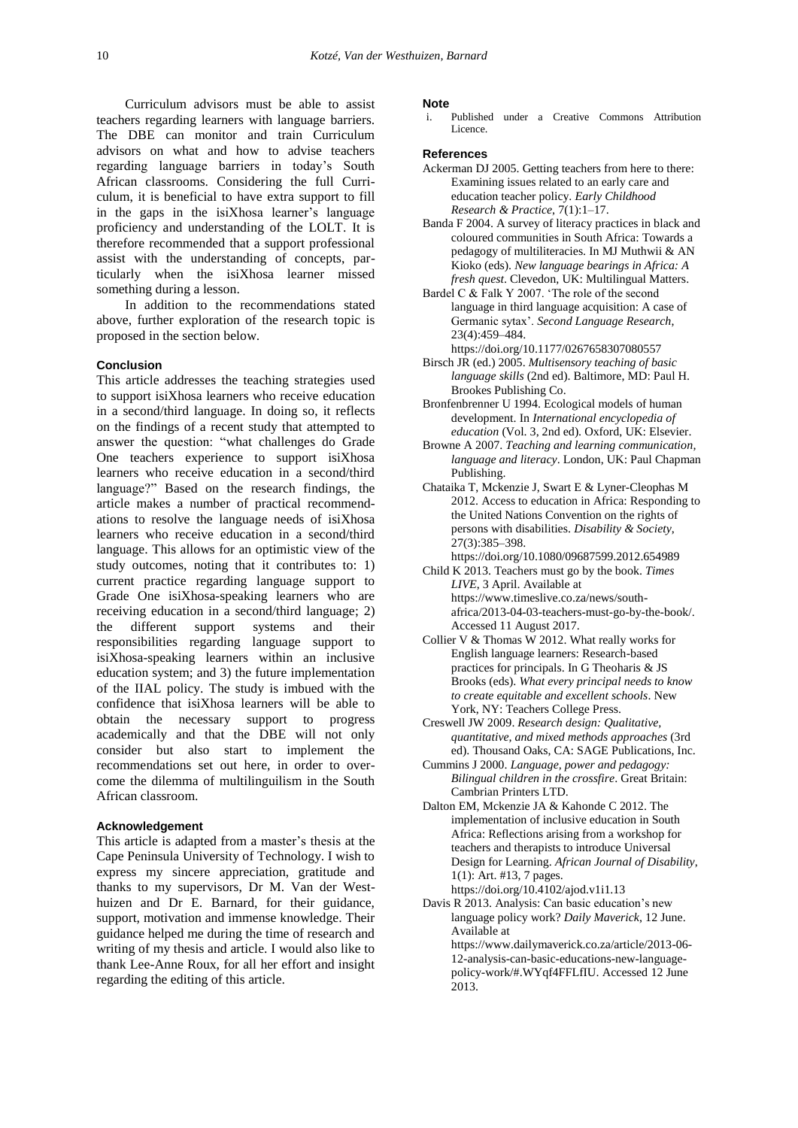Curriculum advisors must be able to assist teachers regarding learners with language barriers. The DBE can monitor and train Curriculum advisors on what and how to advise teachers regarding language barriers in today's South African classrooms. Considering the full Curriculum, it is beneficial to have extra support to fill in the gaps in the isiXhosa learner's language proficiency and understanding of the LOLT. It is therefore recommended that a support professional assist with the understanding of concepts, particularly when the isiXhosa learner missed something during a lesson.

In addition to the recommendations stated above, further exploration of the research topic is proposed in the section below.

#### **Conclusion**

This article addresses the teaching strategies used to support isiXhosa learners who receive education in a second/third language. In doing so, it reflects on the findings of a recent study that attempted to answer the question: "what challenges do Grade One teachers experience to support isiXhosa learners who receive education in a second/third language?" Based on the research findings, the article makes a number of practical recommendations to resolve the language needs of isiXhosa learners who receive education in a second/third language. This allows for an optimistic view of the study outcomes, noting that it contributes to: 1) current practice regarding language support to Grade One isiXhosa-speaking learners who are receiving education in a second/third language; 2) the different support systems and their responsibilities regarding language support to isiXhosa-speaking learners within an inclusive education system; and 3) the future implementation of the IIAL policy. The study is imbued with the confidence that isiXhosa learners will be able to obtain the necessary support to progress academically and that the DBE will not only consider but also start to implement the recommendations set out here, in order to overcome the dilemma of multilinguilism in the South African classroom.

#### **Acknowledgement**

This article is adapted from a master's thesis at the Cape Peninsula University of Technology. I wish to express my sincere appreciation, gratitude and thanks to my supervisors, Dr M. Van der Westhuizen and Dr E. Barnard, for their guidance, support, motivation and immense knowledge. Their guidance helped me during the time of research and writing of my thesis and article. I would also like to thank Lee-Anne Roux, for all her effort and insight regarding the editing of this article.

#### **Note**

Published under a Creative Commons Attribution Licence.

#### **References**

- Ackerman DJ 2005. Getting teachers from here to there: Examining issues related to an early care and education teacher policy. *Early Childhood Research & Practice*, 7(1):1–17.
- Banda F 2004. A survey of literacy practices in black and coloured communities in South Africa: Towards a pedagogy of multiliteracies. In MJ Muthwii & AN Kioko (eds). *New language bearings in Africa: A fresh quest*. Clevedon, UK: Multilingual Matters.
- Bardel C & Falk Y 2007. 'The role of the second language in third language acquisition: A case of Germanic sytax'. *Second Language Research*, 23(4):459–484.
- <https://doi.org/10.1177/0267658307080557> Birsch JR (ed.) 2005. *Multisensory teaching of basic*
- *language skills* (2nd ed). Baltimore, MD: Paul H. Brookes Publishing Co.
- Bronfenbrenner U 1994. Ecological models of human development. In *International encyclopedia of education* (Vol. 3, 2nd ed). Oxford, UK: Elsevier.
- Browne A 2007. *Teaching and learning communication, language and literacy*. London, UK: Paul Chapman Publishing.

Chataika T, Mckenzie J, Swart E & Lyner-Cleophas M 2012. Access to education in Africa: Responding to the United Nations Convention on the rights of persons with disabilities. *Disability & Society*, 27(3):385–398.

<https://doi.org/10.1080/09687599.2012.654989>

- Child K 2013. Teachers must go by the book. *Times LIVE*, 3 April. Available at [https://www.timeslive.co.za/news/south](https://www.timeslive.co.za/news/south-africa/2013-04-03-teachers-must-go-by-the-book/)[africa/2013-04-03-teachers-must-go-by-the-book/.](https://www.timeslive.co.za/news/south-africa/2013-04-03-teachers-must-go-by-the-book/) Accessed 11 August 2017.
- Collier V & Thomas W 2012. What really works for English language learners: Research-based practices for principals. In G Theoharis & JS Brooks (eds). *What every principal needs to know to create equitable and excellent schools*. New York, NY: Teachers College Press.
- Creswell JW 2009. *Research design: Qualitative, quantitative, and mixed methods approaches* (3rd ed). Thousand Oaks, CA: SAGE Publications, Inc.
- Cummins J 2000. *Language, power and pedagogy: Bilingual children in the crossfire*. Great Britain: Cambrian Printers LTD.
- Dalton EM, Mckenzie JA & Kahonde C 2012. The implementation of inclusive education in South Africa: Reflections arising from a workshop for teachers and therapists to introduce Universal Design for Learning. *African Journal of Disability*, 1(1): Art. #13, 7 pages. <https://doi.org/10.4102/ajod.v1i1.13>
- Davis R 2013. Analysis: Can basic education's new language policy work? *Daily Maverick*, 12 June. Available at
	- [https://www.dailymaverick.co.za/article/2013-06-](https://www.dailymaverick.co.za/article/2013-06-12-analysis-can-basic-educations-new-language-policy-work/%23.WYqf4FFLfIU) [12-analysis-can-basic-educations-new-language](https://www.dailymaverick.co.za/article/2013-06-12-analysis-can-basic-educations-new-language-policy-work/%23.WYqf4FFLfIU)[policy-work/#.WYqf4FFLfIU.](https://www.dailymaverick.co.za/article/2013-06-12-analysis-can-basic-educations-new-language-policy-work/%23.WYqf4FFLfIU) Accessed 12 June 2013.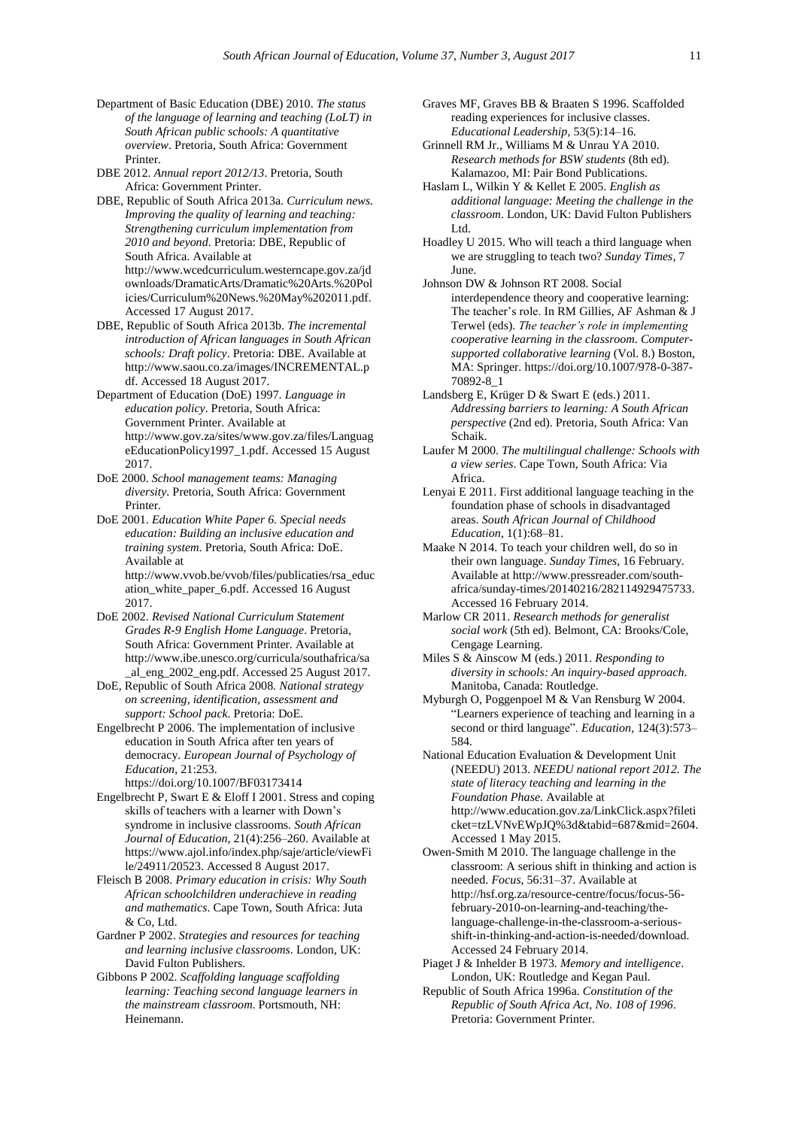- Department of Basic Education (DBE) 2010. *The status of the language of learning and teaching (LoLT) in South African public schools: A quantitative overview*. Pretoria, South Africa: Government Printer.
- DBE 2012. *Annual report 2012/13*. Pretoria, South Africa: Government Printer.
- DBE, Republic of South Africa 2013a. *Curriculum news. Improving the quality of learning and teaching: Strengthening curriculum implementation from 2010 and beyond*. Pretoria: DBE, Republic of South Africa. Available at [http://www.wcedcurriculum.westerncape.gov.za/jd](http://www.wcedcurriculum.westerncape.gov.za/jdownloads/DramaticArts/Dramatic%20Arts.%20Policies/Curriculum%20News.%20May%202011.pdf) [ownloads/DramaticArts/Dramatic%20Arts.%20Pol](http://www.wcedcurriculum.westerncape.gov.za/jdownloads/DramaticArts/Dramatic%20Arts.%20Policies/Curriculum%20News.%20May%202011.pdf) [icies/Curriculum%20News.%20May%202011.pdf.](http://www.wcedcurriculum.westerncape.gov.za/jdownloads/DramaticArts/Dramatic%20Arts.%20Policies/Curriculum%20News.%20May%202011.pdf) Accessed 17 August 2017.
- DBE, Republic of South Africa 2013b. *The incremental introduction of African languages in South African schools: Draft policy*. Pretoria: DBE. Available at [http://www.saou.co.za/images/INCREMENTAL.p](http://www.saou.co.za/images/INCREMENTAL.pdf) [df.](http://www.saou.co.za/images/INCREMENTAL.pdf) Accessed 18 August 2017.
- Department of Education (DoE) 1997. *Language in education policy*. Pretoria, South Africa: Government Printer. Available at [http://www.gov.za/sites/www.gov.za/files/Languag](http://www.gov.za/sites/www.gov.za/files/LanguageEducationPolicy1997_1.pdf) [eEducationPolicy1997\\_1.pdf.](http://www.gov.za/sites/www.gov.za/files/LanguageEducationPolicy1997_1.pdf) Accessed 15 August 2017.
- DoE 2000. *School management teams: Managing diversity*. Pretoria, South Africa: Government Printer.
- DoE 2001. *Education White Paper 6. Special needs education: Building an inclusive education and training system*. Pretoria, South Africa: DoE. Available at [http://www.vvob.be/vvob/files/publicaties/rsa\\_educ](http://www.vvob.be/vvob/files/publicaties/rsa_education_white_paper_6.pdf)

[ation\\_white\\_paper\\_6.pdf.](http://www.vvob.be/vvob/files/publicaties/rsa_education_white_paper_6.pdf) Accessed 16 August 2017.

- DoE 2002. *Revised National Curriculum Statement Grades R-9 English Home Language*. Pretoria, South Africa: Government Printer. Available at [http://www.ibe.unesco.org/curricula/southafrica/sa](http://www.ibe.unesco.org/curricula/southafrica/sa_al_eng_2002_eng.pdf) [\\_al\\_eng\\_2002\\_eng.pdf.](http://www.ibe.unesco.org/curricula/southafrica/sa_al_eng_2002_eng.pdf) Accessed 25 August 2017.
- DoE, Republic of South Africa 2008. *National strategy on screening, identification, assessment and support: School pack*. Pretoria: DoE.
- Engelbrecht P 2006. The implementation of inclusive education in South Africa after ten years of democracy. *European Journal of Psychology of Education*, 21:253. <https://doi.org/10.1007/BF03173414>

Engelbrecht P, Swart E & Eloff I 2001. Stress and coping skills of teachers with a learner with Down's syndrome in inclusive classrooms. *South African Journal of Education*, 21(4):256–260. Available at [https://www.ajol.info/index.php/saje/article/viewFi](https://www.ajol.info/index.php/saje/article/viewFile/24911/20523) [le/24911/20523.](https://www.ajol.info/index.php/saje/article/viewFile/24911/20523) Accessed 8 August 2017.

- Fleisch B 2008. *Primary education in crisis: Why South African schoolchildren underachieve in reading and mathematics*. Cape Town, South Africa: Juta & Co, Ltd.
- Gardner P 2002. *Strategies and resources for teaching and learning inclusive classrooms*. London, UK: David Fulton Publishers.
- Gibbons P 2002. *Scaffolding language scaffolding learning: Teaching second language learners in the mainstream classroom*. Portsmouth, NH: Heinemann.
- Graves MF, Graves BB & Braaten S 1996. Scaffolded reading experiences for inclusive classes. *Educational Leadership*, 53(5):14–16.
- Grinnell RM Jr., Williams M & Unrau YA 2010. *Research methods for BSW students* (8th ed). Kalamazoo, MI: Pair Bond Publications.
- Haslam L, Wilkin Y & Kellet E 2005. *English as additional language: Meeting the challenge in the classroom*. London, UK: David Fulton Publishers Ltd.
- Hoadley U 2015. Who will teach a third language when we are struggling to teach two? *Sunday Times*, 7 June.

Johnson DW & Johnson RT 2008. Social interdependence theory and cooperative learning: The teacher's role. In RM Gillies, AF Ashman & J Terwel (eds). *The teacher's role in implementing cooperative learning in the classroom. Computersupported collaborative learning* (Vol. 8.) Boston, MA: Springer[. https://doi.org/10.1007/978-0-387-](https://doi.org/10.1007/978-0-387-70892-8_1) [70892-8\\_1](https://doi.org/10.1007/978-0-387-70892-8_1)

- Landsberg E, Krüger D & Swart E (eds.) 2011. *Addressing barriers to learning: A South African perspective* (2nd ed). Pretoria, South Africa: Van Schaik.
- Laufer M 2000. *The multilingual challenge: Schools with a view series*. Cape Town, South Africa: Via Africa.

Lenyai E 2011. First additional language teaching in the foundation phase of schools in disadvantaged areas. *South African Journal of Childhood Education*, 1(1):68–81.

Maake N 2014. To teach your children well, do so in their own language. *Sunday Times*, 16 February. Available a[t http://www.pressreader.com/south](http://www.pressreader.com/south-africa/sunday-times/20140216/282114929475733)[africa/sunday-times/20140216/282114929475733.](http://www.pressreader.com/south-africa/sunday-times/20140216/282114929475733) Accessed 16 February 2014.

- Marlow CR 2011. *Research methods for generalist social work* (5th ed). Belmont, CA: Brooks/Cole, Cengage Learning.
- Miles S & Ainscow M (eds.) 2011. *Responding to diversity in schools: An inquiry-based approach*. Manitoba, Canada: Routledge.

Myburgh O, Poggenpoel M & Van Rensburg W 2004. "Learners experience of teaching and learning in a second or third language". *Education,* 124(3):573– 584.

- National Education Evaluation & Development Unit (NEEDU) 2013. *NEEDU national report 2012. The state of literacy teaching and learning in the Foundation Phase*. Available at [http://www.education.gov.za/LinkClick.aspx?fileti](http://www.education.gov.za/LinkClick.aspx?fileticket=tzLVNvEWpJQ%3d&tabid=687&mid=2604) [cket=tzLVNvEWpJQ%3d&tabid=687&mid=2604.](http://www.education.gov.za/LinkClick.aspx?fileticket=tzLVNvEWpJQ%3d&tabid=687&mid=2604) Accessed 1 May 2015.
- Owen-Smith M 2010. The language challenge in the classroom: A serious shift in thinking and action is needed. *Focus*, 56:31–37. Available at [http://hsf.org.za/resource-centre/focus/focus-56](http://hsf.org.za/resource-centre/focus/focus-56-february-2010-on-learning-and-teaching/the-language-challenge-in-the-classroom-a-serious-shift-in-thinking-and-action-is-needed/download) [february-2010-on-learning-and-teaching/the](http://hsf.org.za/resource-centre/focus/focus-56-february-2010-on-learning-and-teaching/the-language-challenge-in-the-classroom-a-serious-shift-in-thinking-and-action-is-needed/download)[language-challenge-in-the-classroom-a-serious](http://hsf.org.za/resource-centre/focus/focus-56-february-2010-on-learning-and-teaching/the-language-challenge-in-the-classroom-a-serious-shift-in-thinking-and-action-is-needed/download)[shift-in-thinking-and-action-is-needed/download.](http://hsf.org.za/resource-centre/focus/focus-56-february-2010-on-learning-and-teaching/the-language-challenge-in-the-classroom-a-serious-shift-in-thinking-and-action-is-needed/download) Accessed 24 February 2014.
- Piaget J & Inhelder B 1973. *Memory and intelligence*. London, UK: Routledge and Kegan Paul.
- Republic of South Africa 1996a. *Constitution of the Republic of South Africa Act, No. 108 of 1996*. Pretoria: Government Printer.